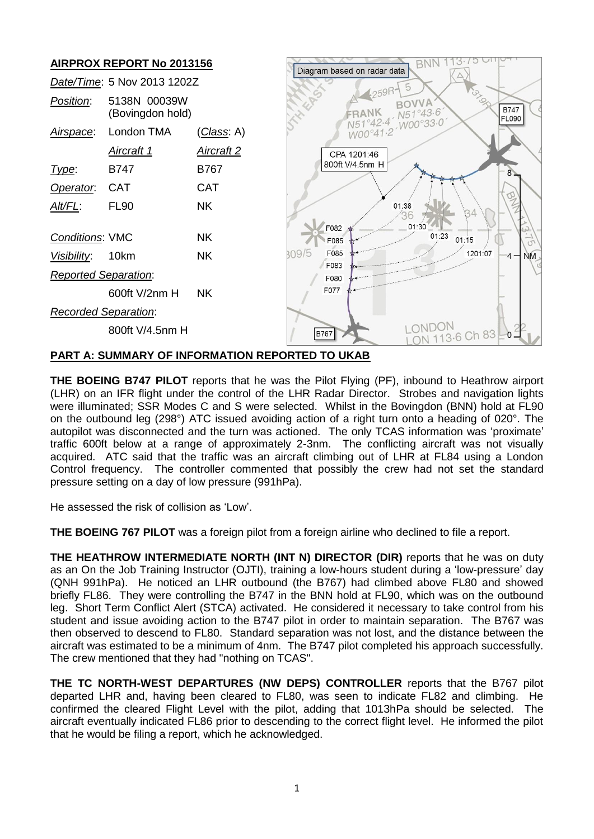

## **PART A: SUMMARY OF INFORMATION REPORTED TO UKAB**

**THE BOEING B747 PILOT** reports that he was the Pilot Flying (PF), inbound to Heathrow airport (LHR) on an IFR flight under the control of the LHR Radar Director. Strobes and navigation lights were illuminated; SSR Modes C and S were selected. Whilst in the Bovingdon (BNN) hold at FL90 on the outbound leg (298°) ATC issued avoiding action of a right turn onto a heading of 020°. The autopilot was disconnected and the turn was actioned. The only TCAS information was 'proximate' traffic 600ft below at a range of approximately 2-3nm. The conflicting aircraft was not visually acquired. ATC said that the traffic was an aircraft climbing out of LHR at FL84 using a London Control frequency. The controller commented that possibly the crew had not set the standard pressure setting on a day of low pressure (991hPa).

He assessed the risk of collision as 'Low'.

**THE BOEING 767 PILOT** was a foreign pilot from a foreign airline who declined to file a report.

**THE HEATHROW INTERMEDIATE NORTH (INT N) DIRECTOR (DIR)** reports that he was on duty as an On the Job Training Instructor (OJTI), training a low-hours student during a 'low-pressure' day (QNH 991hPa). He noticed an LHR outbound (the B767) had climbed above FL80 and showed briefly FL86. They were controlling the B747 in the BNN hold at FL90, which was on the outbound leg. Short Term Conflict Alert (STCA) activated. He considered it necessary to take control from his student and issue avoiding action to the B747 pilot in order to maintain separation. The B767 was then observed to descend to FL80. Standard separation was not lost, and the distance between the aircraft was estimated to be a minimum of 4nm. The B747 pilot completed his approach successfully. The crew mentioned that they had "nothing on TCAS".

**THE TC NORTH-WEST DEPARTURES (NW DEPS) CONTROLLER** reports that the B767 pilot departed LHR and, having been cleared to FL80, was seen to indicate FL82 and climbing. He confirmed the cleared Flight Level with the pilot, adding that 1013hPa should be selected. The aircraft eventually indicated FL86 prior to descending to the correct flight level. He informed the pilot that he would be filing a report, which he acknowledged.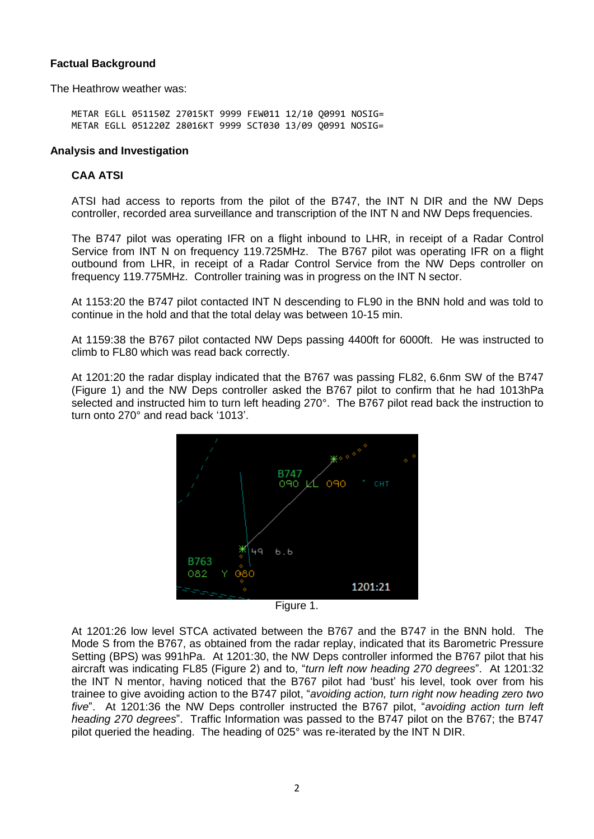# **Factual Background**

The Heathrow weather was:

METAR EGLL 051150Z 27015KT 9999 FEW011 12/10 Q0991 NOSIG= METAR EGLL 051220Z 28016KT 9999 SCT030 13/09 Q0991 NOSIG=

#### **Analysis and Investigation**

# **CAA ATSI**

ATSI had access to reports from the pilot of the B747, the INT N DIR and the NW Deps controller, recorded area surveillance and transcription of the INT N and NW Deps frequencies.

The B747 pilot was operating IFR on a flight inbound to LHR, in receipt of a Radar Control Service from INT N on frequency 119.725MHz. The B767 pilot was operating IFR on a flight outbound from LHR, in receipt of a Radar Control Service from the NW Deps controller on frequency 119.775MHz. Controller training was in progress on the INT N sector.

At 1153:20 the B747 pilot contacted INT N descending to FL90 in the BNN hold and was told to continue in the hold and that the total delay was between 10-15 min.

At 1159:38 the B767 pilot contacted NW Deps passing 4400ft for 6000ft. He was instructed to climb to FL80 which was read back correctly.

At 1201:20 the radar display indicated that the B767 was passing FL82, 6.6nm SW of the B747 (Figure 1) and the NW Deps controller asked the B767 pilot to confirm that he had 1013hPa selected and instructed him to turn left heading 270°. The B767 pilot read back the instruction to turn onto 270° and read back '1013'.





At 1201:26 low level STCA activated between the B767 and the B747 in the BNN hold. The Mode S from the B767, as obtained from the radar replay, indicated that its Barometric Pressure Setting (BPS) was 991hPa. At 1201:30, the NW Deps controller informed the B767 pilot that his aircraft was indicating FL85 (Figure 2) and to, "*turn left now heading 270 degrees*". At 1201:32 the INT N mentor, having noticed that the B767 pilot had 'bust' his level, took over from his trainee to give avoiding action to the B747 pilot, "*avoiding action, turn right now heading zero two five*". At 1201:36 the NW Deps controller instructed the B767 pilot, "*avoiding action turn left heading 270 degrees*". Traffic Information was passed to the B747 pilot on the B767; the B747 pilot queried the heading. The heading of 025° was re-iterated by the INT N DIR.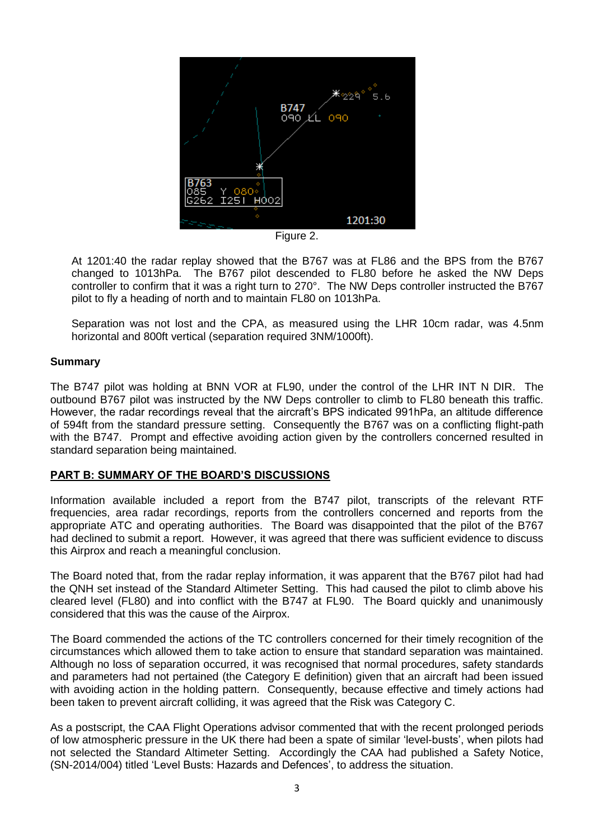

Figure 2.

At 1201:40 the radar replay showed that the B767 was at FL86 and the BPS from the B767 changed to 1013hPa. The B767 pilot descended to FL80 before he asked the NW Deps controller to confirm that it was a right turn to 270°. The NW Deps controller instructed the B767 pilot to fly a heading of north and to maintain FL80 on 1013hPa.

Separation was not lost and the CPA, as measured using the LHR 10cm radar, was 4.5nm horizontal and 800ft vertical (separation required 3NM/1000ft).

## **Summary**

The B747 pilot was holding at BNN VOR at FL90, under the control of the LHR INT N DIR. The outbound B767 pilot was instructed by the NW Deps controller to climb to FL80 beneath this traffic. However, the radar recordings reveal that the aircraft's BPS indicated 991hPa, an altitude difference of 594ft from the standard pressure setting. Consequently the B767 was on a conflicting flight-path with the B747. Prompt and effective avoiding action given by the controllers concerned resulted in standard separation being maintained.

## **PART B: SUMMARY OF THE BOARD'S DISCUSSIONS**

Information available included a report from the B747 pilot, transcripts of the relevant RTF frequencies, area radar recordings, reports from the controllers concerned and reports from the appropriate ATC and operating authorities. The Board was disappointed that the pilot of the B767 had declined to submit a report. However, it was agreed that there was sufficient evidence to discuss this Airprox and reach a meaningful conclusion.

The Board noted that, from the radar replay information, it was apparent that the B767 pilot had had the QNH set instead of the Standard Altimeter Setting. This had caused the pilot to climb above his cleared level (FL80) and into conflict with the B747 at FL90. The Board quickly and unanimously considered that this was the cause of the Airprox.

The Board commended the actions of the TC controllers concerned for their timely recognition of the circumstances which allowed them to take action to ensure that standard separation was maintained. Although no loss of separation occurred, it was recognised that normal procedures, safety standards and parameters had not pertained (the Category E definition) given that an aircraft had been issued with avoiding action in the holding pattern. Consequently, because effective and timely actions had been taken to prevent aircraft colliding, it was agreed that the Risk was Category C.

As a postscript, the CAA Flight Operations advisor commented that with the recent prolonged periods of low atmospheric pressure in the UK there had been a spate of similar 'level-busts', when pilots had not selected the Standard Altimeter Setting. Accordingly the CAA had published a Safety Notice, (SN-2014/004) titled 'Level Busts: Hazards and Defences', to address the situation.